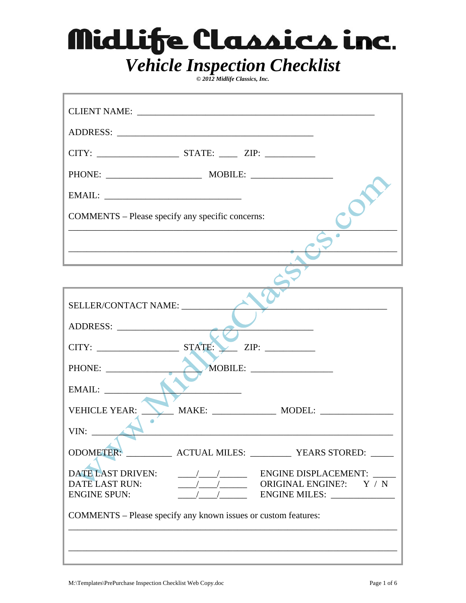*© 2012 Midlife Classics, Inc.* 

| COMMENTS – Please specify any specific concerns:<br><u> 1989 - Johann Barbara, margaret eta idazlea (h. 1989).</u><br>SELLER/CONTACT NAME:<br>the control of the control of the control of the control of the control of<br>ADDRESS:<br>PHONE:<br>EMAIL:<br><b>VEHICLE YEAR:</b><br>VIN: | CLIENT NAME: |  |
|------------------------------------------------------------------------------------------------------------------------------------------------------------------------------------------------------------------------------------------------------------------------------------------|--------------|--|
|                                                                                                                                                                                                                                                                                          |              |  |
|                                                                                                                                                                                                                                                                                          |              |  |
|                                                                                                                                                                                                                                                                                          |              |  |
|                                                                                                                                                                                                                                                                                          |              |  |
|                                                                                                                                                                                                                                                                                          |              |  |
|                                                                                                                                                                                                                                                                                          |              |  |
|                                                                                                                                                                                                                                                                                          |              |  |
|                                                                                                                                                                                                                                                                                          |              |  |
|                                                                                                                                                                                                                                                                                          |              |  |
|                                                                                                                                                                                                                                                                                          |              |  |
|                                                                                                                                                                                                                                                                                          |              |  |
|                                                                                                                                                                                                                                                                                          |              |  |
|                                                                                                                                                                                                                                                                                          |              |  |
|                                                                                                                                                                                                                                                                                          |              |  |
|                                                                                                                                                                                                                                                                                          |              |  |
| ODOMETER: ____________ ACTUAL MILES: __________ YEARS STORED: _____                                                                                                                                                                                                                      |              |  |
| <b>DATE LAST DRIVEN:</b><br>$\frac{1}{2}$ ENGINE DISPLACEMENT:                                                                                                                                                                                                                           |              |  |
| $\frac{1}{2}$ ORIGINAL ENGINE?: Y / N<br><b>DATE LAST RUN:</b>                                                                                                                                                                                                                           |              |  |
| <b>ENGINE SPUN:</b>                                                                                                                                                                                                                                                                      |              |  |
| COMMENTS – Please specify any known issues or custom features:                                                                                                                                                                                                                           |              |  |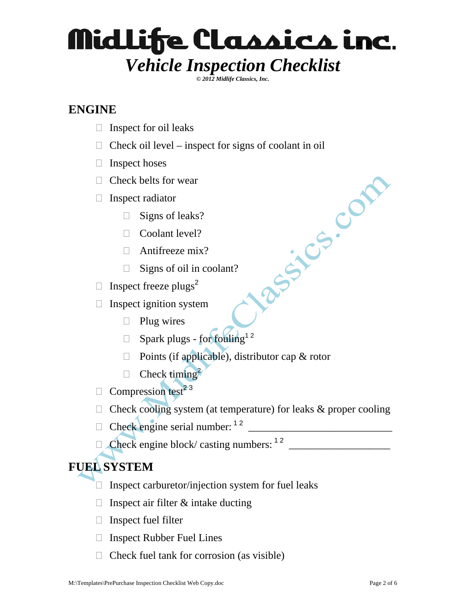*© 2012 Midlife Classics, Inc.* 

### **ENGINE**

- $\Box$  Inspect for oil leaks
- $\Box$  Check oil level inspect for signs of coolant in oil
- $\Box$  Inspect hoses
- $\Box$  Check belts for wear
- $\Box$  Inspect radiator
	- $\Box$  Signs of leaks?
	- □ Coolant level?
	- $\Box$  Antifreeze mix?
	- $\Box$  Signs of oil in coolant?
- $\Box$  Inspect freeze plugs<sup>2</sup>
- $\Box$  Inspect ignition system
	- $\Box$  Plug wires
	- $\Box$  Spark plugs for fouling<sup>12</sup>
	- $\Box$  Points (if applicable), distributor cap & rotor
	- $\Box$  Check timing<sup>2</sup>
- $\Box$  Compression test<sup>23</sup>
- $\Box$  Check cooling system (at temperature) for leaks & proper cooling

Jacques Con

- $\Box$  Check engine serial number:  $12$
- $\Box$  Check engine block/ casting numbers:  $1^2$

### **FUEL SYSTEM**

- $\Box$  Inspect carburetor/injection system for fuel leaks
- $\Box$  Inspect air filter & intake ducting
- $\Box$  Inspect fuel filter
- $\Box$  Inspect Rubber Fuel Lines
- $\Box$  Check fuel tank for corrosion (as visible)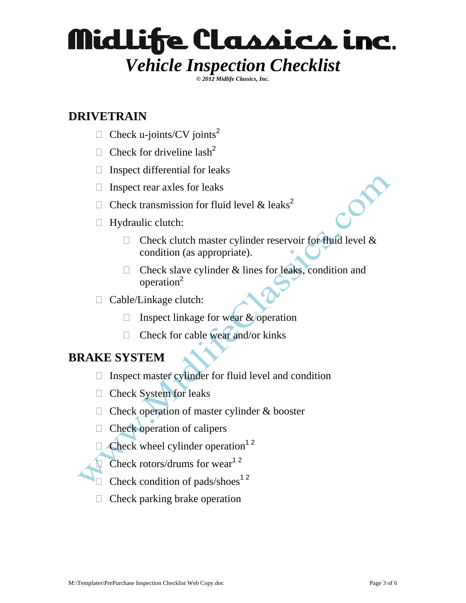*© 2012 Midlife Classics, Inc.* 

### **DRIVETRAIN**

- $\Box$  Check u-joints/CV joints<sup>2</sup>
- $\Box$  Check for driveline lash<sup>2</sup>
- $\Box$  Inspect differential for leaks
- $\Box$  Inspect rear axles for leaks
- $\Box$  Check transmission for fluid level & leaks<sup>2</sup>
- $\Box$  Hydraulic clutch:
	- $\Box$  Check clutch master cylinder reservoir for fluid level & condition (as appropriate).
	- $\Box$  Check slave cylinder & lines for leaks, condition and operation<sup>2</sup>
- Cable/Linkage clutch:
	- $\Box$  Inspect linkage for wear & operation
	- $\Box$  Check for cable wear and/or kinks

#### **BRAKE SYSTEM**

- $\Box$  Inspect master cylinder for fluid level and condition
- □ Check System for leaks
- $\Box$  Check operation of master cylinder & booster
- $\Box$  Check operation of calipers
- $\Box$  Check wheel cylinder operation<sup>12</sup>
- $\Box$  Check rotors/drums for wear<sup>12</sup>
- $\Box$  Check condition of pads/shoes<sup>12</sup>
- $\Box$  Check parking brake operation

or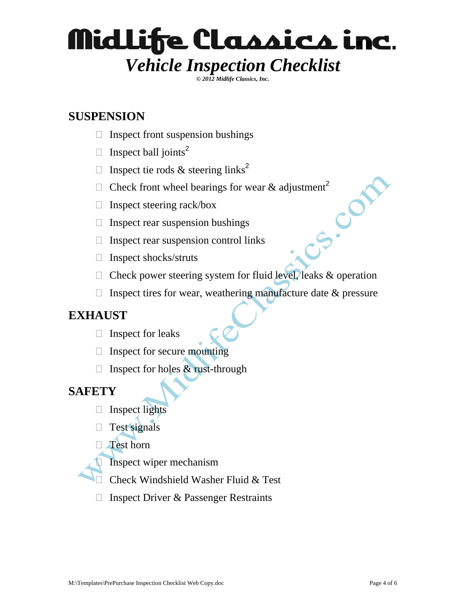*© 2012 Midlife Classics, Inc.* 

### **SUSPENSION**

- $\Box$  Inspect front suspension bushings
- $\Box$  Inspect ball joints<sup>2</sup>
- $\Box$  Inspect tie rods & steering links<sup>2</sup>
- □ Check front wheel bearings for wear & adjustment<sup>2</sup><br>□ Inspect steering rack/box<br>□ Inspect rear suspension or<br>□ Instead of the property of the property of the property of the property of the property of the property of t
- $\Box$  Inspect steering rack/box
- $\Box$  Inspect rear suspension bushings
- $\Box$  Inspect rear suspension control links
- $\Box$  Inspect shocks/struts
- $\Box$  Check power steering system for fluid level, leaks & operation
- $\Box$  Inspect tires for wear, weathering manufacture date & pressure

#### **EXHAUST**

- $\Box$  Inspect for leaks
- $\Box$  Inspect for secure mounting
- $\Box$  Inspect for holes & rust-through

#### **SAFETY**

- $\Box$  Inspect lights
- $\Box$  Test signals
- □ Test horn
	- Inspect wiper mechanism
- Check Windshield Washer Fluid & Test
- $\Box$  Inspect Driver & Passenger Restraints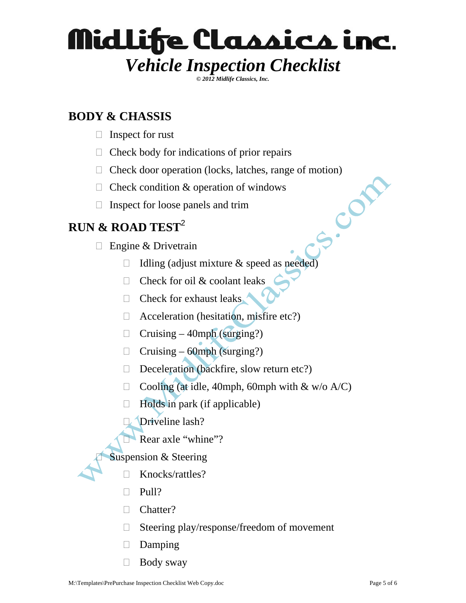*© 2012 Midlife Classics, Inc.* 

### **BODY & CHASSIS**

- $\Box$  Inspect for rust
- $\Box$  Check body for indications of prior repairs
- □ Check door operation (locks, latches, range of motion)<br>
□ Check condition & operation of windows<br>
□ Inspect for loose panels and trim<br>  $\&$  ROAD TEST<sup>2</sup><br>
□ Engine & D
- $\Box$  Check condition & operation of windows
- $\Box$  Inspect for loose panels and trim

### **RUN & ROAD TEST**<sup>2</sup>

- $\Box$  Engine & Drivetrain
	- $\Box$  Idling (adjust mixture & speed as needed)
	- $\Box$  Check for oil & coolant leaks
	- $\Box$  Check for exhaust leaks
	- $\Box$  Acceleration (hesitation, misfire etc?)
	- $\Box$  Cruising 40mph (surging?)
	- $\Box$  Cruising 60mph (surging?)
	- Deceleration (backfire, slow return etc?)
	- $\Box$  Cooling (at idle, 40mph, 60mph with & w/o A/C)
	- $\Box$  Holds in park (if applicable)
	- Driveline lash?
		- Rear axle "whine"?

Suspension & Steering

- Knocks/rattles?
- $\Box$  Pull?
- □ Chatter?
- $\Box$  Steering play/response/freedom of movement
- Damping
- $\Box$  Body sway